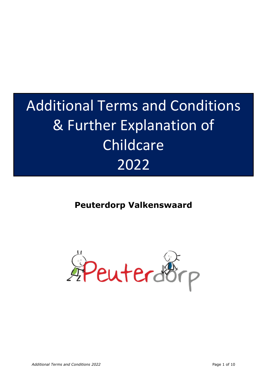# Additional Terms and Conditions & Further Explanation of Childcare 2022

# **Peuterdorp Valkenswaard**

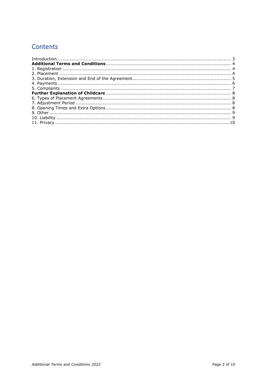# **Contents**

| $\label{eq:interadd} \begin{minipage}[t]{0.9\linewidth} \begin{minipage}[t]{0.9\linewidth} \begin{minipage}[t]{0.9\linewidth} \begin{minipage}[t]{0.9\linewidth} \begin{minipage}[t]{0.9\linewidth} \end{minipage}[t]{0.9\linewidth} \begin{minipage}[t]{0.9\linewidth} \begin{minipage}[t]{0.9\linewidth} \end{minipage}[t]{0.9\linewidth} \end{minipage}[t]{0.9\linewidth} \begin{minipage}[t]{0.9\linewidth} \begin{minipage}[t]{0.9\linewidth} \end{minipage}[t]{0.9\linewidth} \begin{minipage}[t]{0.9\linewidth} \end$ |  |
|------------------------------------------------------------------------------------------------------------------------------------------------------------------------------------------------------------------------------------------------------------------------------------------------------------------------------------------------------------------------------------------------------------------------------------------------------------------------------------------------------------------------------|--|
|                                                                                                                                                                                                                                                                                                                                                                                                                                                                                                                              |  |
|                                                                                                                                                                                                                                                                                                                                                                                                                                                                                                                              |  |
|                                                                                                                                                                                                                                                                                                                                                                                                                                                                                                                              |  |
|                                                                                                                                                                                                                                                                                                                                                                                                                                                                                                                              |  |
|                                                                                                                                                                                                                                                                                                                                                                                                                                                                                                                              |  |
|                                                                                                                                                                                                                                                                                                                                                                                                                                                                                                                              |  |
|                                                                                                                                                                                                                                                                                                                                                                                                                                                                                                                              |  |
|                                                                                                                                                                                                                                                                                                                                                                                                                                                                                                                              |  |
|                                                                                                                                                                                                                                                                                                                                                                                                                                                                                                                              |  |
|                                                                                                                                                                                                                                                                                                                                                                                                                                                                                                                              |  |
|                                                                                                                                                                                                                                                                                                                                                                                                                                                                                                                              |  |
|                                                                                                                                                                                                                                                                                                                                                                                                                                                                                                                              |  |
|                                                                                                                                                                                                                                                                                                                                                                                                                                                                                                                              |  |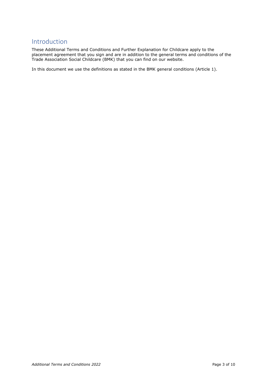# <span id="page-2-0"></span>Introduction

These Additional Terms and Conditions and Further Explanation for Childcare apply to the placement agreement that you sign and are in addition to the general terms and conditions of the Trade Association Social Childcare (BMK) that you can find on our website.

In this document we use the definitions as stated in the BMK general conditions (Article 1).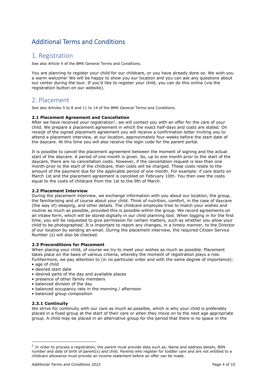# <span id="page-3-0"></span>Additional Terms and Conditions

### <span id="page-3-1"></span>1. Registration

See also Article 4 of the BMK General Terms and Conditions.

You are planning to register your child for our childcare, or you have already done so. We wish you a warm welcome! We will be happy to show you our location and you can ask any questions about our center during the tour. If you'd like to register your child, you can do this online (via the registration button on our website).

# <span id="page-3-2"></span>2. Placement

See also Articles 5 to 8 and 11 to 14 of the BMK General Terms and Conditions.

### **2.1 Placement Agreement and Cancellation**

After we have received your registration<sup>1</sup>, we will contact you with an offer for the care of your child. We prepare a placement agreement in which the exact half-days and costs are stated. On receipt of the signed placement agreement you will receive a confirmation letter inviting you to attend a placement interview, at our location, approximately four weeks before the start date of the daycare. At this time you will also receive the login code for the parent portal.

It is possible to cancel the placement agreement between the moment of signing and the actual start of the daycare. A period of one month is given. So, up to one month prior to the start of the daycare, there are no cancellation costs. However, if the cancellation request is less than one month prior to the start of the childcare, then costs will be charged. These costs relate to the amount of the payment due for the applicable period of one month. For example: if care starts on March 1st and the placement agreement is canceled on February 10th. You then owe the costs equal to the costs of childcare from the 1st to the 9th of March.

### **2.2 Placement Interview**

During the placement interview, we exchange information with you about our location, the group, the familiarising and of course about your child. Think of nutrition, comfort, in the case of daycare (the way of) sleeping, and other details. The childcare employee tries to match your wishes and routine as much as possible, provided this is possible within the group. We record agreements on an intake form, which will be stored digitally in our child planning tool. When logging in for the first time, you will be requested to give permission for certain matters, such as whether you allow your child to be photographed. It is important to report any changes, in a timely manner, to the Director of our location by sending an email. During the placement interview, the required Citizen Service Number (s) will also be checked.

### **2.3 Preconditions for Placement**

When placing your child, of course we try to meet your wishes as much as possible. Placement takes place on the basis of various criteria, whereby the moment of registration plays a role. Furthermore, we pay attention to (in no particular order and with the same degree of importance): • age of child

- desired start date
- desired parts of the day and available places
- presence of other family members
- balanced division of the day
- balanced occupancy rate in the morning / afternoon
- balanced group composition

### **2.3.1 Continuity**

We strive for continuity with our care as much as possible, which is why your child is preferably placed in a fixed group at the start of their care or when they move on to the next age appropriate group. A child may be placed in an alternative group for the period that there is no space in the

 $<sup>1</sup>$  In order to process a registration, the parent must provide data such as; Name and address details, BSN</sup> number and date of birth of parent(s) and child. Parents who register for toddler care and are not entitled to a childcare allowance must provide an income statement before an offer can be made.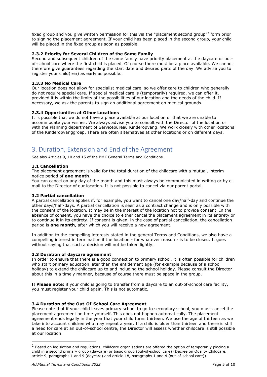fixed group and you give written permission for this via the "placement second group"<sup>2</sup> form prior to signing the placement agreement. If your child has been placed in the second group, your child will be placed in the fixed group as soon as possible.

### **2.3.2 Priority for Several Children of the Same Family**

Second and subsequent children of the same family have priority placement at the daycare or outof-school care where the first child is placed. Of course there must be a place available. We cannot therefore give guarantees regarding the start date and desired parts of the day. We advise you to register your child(ren) as early as possible.

### **2.3.3 No Medical Care**

Our location does not allow for specialist medical care, so we offer care to children who generally do not require special care. If special medical care is (temporarily) required, we can offer it, provided it is within the limits of the possibilities of our location and the needs of the child. If necessary, we ask the parents to sign an additional agreement on medical grounds.

### **2.3.4 Opportunities at Other Locations**

It is possible that we do not have a place available at our location or that we are unable to accommodate your wishes. We always advise you to consult with the Director of the location or with the Planning department of Servicebureau Kinderopvang. We work closely with other locations of the Kinderopvanggroep. There are often alternatives at other locations or on different days.

# <span id="page-4-0"></span>3. Duration, Extension and End of the Agreement

See also Articles 9, 10 and 15 of the BMK General Terms and Conditions.

### **3.1 Cancellation**

The placement agreement is valid for the total duration of the childcare with a mutual, interim notice period of **one month**.

You can cancel on any day of the month and this must always be communicated in writing or by email to the Director of our location. It is not possible to cancel via our parent portal.

### **3.2 Partial cancellation**

A partial cancellation applies if, for example, you want to cancel one day/half-day and continue the other days/half-days. A partial cancellation is seen as a contract change and is only possible with the consent of the location. It may be in the interest of the location not to provide consent. In the absence of consent, you have the choice to either cancel the placement agreement in its entirety or to continue it in its entirety. If consent is given, in the case of partial cancellation, the cancellation period is **one month**, after which you will receive a new agreement.

In addition to the compelling interests stated in the general Terms and Conditions, we also have a compelling interest in termination if the location - for whatever reason - is to be closed. It goes without saying that such a decision will not be taken lightly.

### **3.3 Duration of daycare agreement**

In order to ensure that there is a good connection to primary school, it is often possible for children who start primary education later than the entitlement age (for example because of a school holiday) to extend the childcare up to and including the school holiday. Please consult the Director about this in a timely manner, because of course there must be space in the group.

**!! Please note:** if your child is going to transfer from a daycare to an out-of-school care facility, you must register your child again. This is not automatic.

### **3.4 Duration of the Out-Of-School Care Agreement**

Please note that if your child leaves primary school to go to secondary school, you must cancel the placement agreement on time yourself. This does not happen automatically. The placement agreement ends legally in the year that your child turns thirteen. We use the age of thirteen as we take into account children who may repeat a year. If a child is older than thirteen and there is still a need for care at an out-of-school centre, the Director will assess whether childcare is still possible at our location.

<sup>&</sup>lt;sup>2</sup> Based on legislation and regulations, childcare organisations are offered the option of temporarily placing a child in a second primary group (daycare) or basic group (out-of-school care) (Decree on Quality Childcare, article 9, paragraphs 1 and 9 (daycare) and article 18, paragraphs 1 and 4 (out-of-school care)).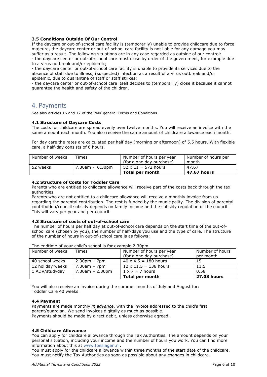### **3.5 Conditions Outside Of Our Control**

If the daycare or out-of-school care facility is (temporarily) unable to provide childcare due to force majeure, the daycare center or out-of-school care facility is not liable for any damage you may suffer as a result. The following situations are in any case regarded as outside of our control: - the daycare center or out-of-school care must close by order of the government, for example due

to a virus outbreak and/or epidemic; - the daycare center or out-of-school care facility is unable to provide its services due to the absence of staff due to illness, (suspected) infection as a result of a virus outbreak and/or epidemic, due to quarantine of staff or staff strikes;

- the daycare center or out-of-school care itself decides to (temporarily) close it because it cannot guarantee the health and safety of the children.

### <span id="page-5-0"></span>4. Payments

See also articles 16 and 17 of the BMK general Terms and Conditions.

### **4.1 Structure of Daycare Costs**

The costs for childcare are spread evenly over twelve months. You will receive an invoice with the same amount each month. You also receive the same amount of childcare allowance each month.

For day care the rates are calculated per half day (morning or afternoon) of 5.5 hours. With flexible care, a half-day consists of 6 hours.

| Number of weeks | Times           | Number of hours per year   | Number of hours per |
|-----------------|-----------------|----------------------------|---------------------|
|                 |                 | (for a one day purchase)   | month               |
| 52 weeks        | 7.30am - 6.30pm | $52 \times 11 = 572$ hours | 47.67               |
|                 |                 | Total per month            | 47.67 hours         |

### **4.2 Structure of Costs for Toddler Care**

Parents who are entitled to childcare allowance will receive part of the costs back through the tax authorities.

Parents who are not entitled to a childcare allowance will receive a monthly invoice from us regarding the parental contribution. The rest is funded by the municipality. The division of parental contribution/council subsidy depends on family income and the subsidy regulation of the council. This will vary per year and per council.

#### **4.3 Structure of costs of out-of-school care**

The number of hours per half day at out-of-school care depends on the start time of the out-ofschool care (chosen by you), the number of half-days you use and the type of care. The structure of the number of hours in out-of-school care is as follows:

| Number of weeks  | Times              | Number of hours per year     | Number of hours    |  |  |
|------------------|--------------------|------------------------------|--------------------|--|--|
|                  |                    | (for a one day purchase)     | per month          |  |  |
| 40 school weeks  | $2.30pm - 7pm$     | $40 \times 4.5 = 180$ hours  | 15                 |  |  |
| 12 holidav weeks | $7.30$ am – $7$ pm | $12 \times 11.5 = 138$ hours | 11.5               |  |  |
| 1 ADV/studyday   | $7.30$ am - 2.30pm | $1 \times 7 = 7$ hours       | 0.58               |  |  |
|                  |                    | <b>Total per month</b>       | <b>27.08 hours</b> |  |  |

The endtime of your child's school is for example 2.30pm

You will also receive an invoice during the summer months of July and August for: Toddler Care 40 weeks.

#### **4.4 Payment**

Payments are made monthly *in advance*, with the invoice addressed to the child's first parent/guardian. We send invoices digitally as much as possible. Payments should be made by direct debit, unless otherwise agreed.

### **4.5 Childcare Allowance**

You can apply for childcare allowance through the Tax Authorities. The amount depends on your personal situation, including your income and the number of hours you work. You can find more information about this at www.toeslagen.nl.

You must apply for the childcare allowance within three months of the start date of the childcare. You must notify the Tax Authorities as soon as possible about any changes in childcare.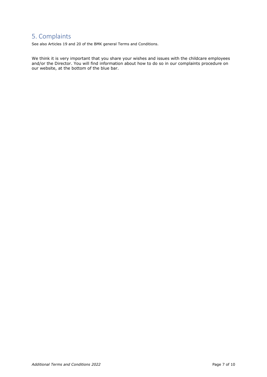# <span id="page-6-0"></span>5. Complaints

See also Articles 19 and 20 of the BMK general Terms and Conditions.

We think it is very important that you share your wishes and issues with the childcare employees and/or the Director. You will find information about how to do so in our complaints procedure on our website, at the bottom of the blue bar.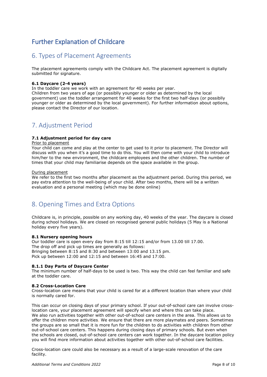# <span id="page-7-0"></span>Further Explanation of Childcare

# <span id="page-7-1"></span>6. Types of Placement Agreements

The placement agreements comply with the Childcare Act. The placement agreement is digitally submitted for signature.

### **6.1 Daycare (2-4 years)**

In the toddler care we work with an agreement for 40 weeks per year.

Children from two years of age (or possiblly younger or older as determined by the local government) use the toddler arrangement for 40 weeks for the first two half-days (or possiblly younger or older as determined by the local government). For further information about options, please contact the Director of our location.

# <span id="page-7-2"></span>7. Adjustment Period

### **7.1 Adjustment period for day care**

### Prior to placement

Your child can come and play at the center to get used to it prior to placement. The Director will discuss with you when it's a good time to do this. You will then come with your child to introduce him/her to the new environment, the childcare employees and the other children. The number of times that your child may familiarise depends on the space available in the group.

### During placement

We refer to the first two months after placement as the adjustment period. During this period, we pay extra attention to the well-being of your child. After two months, there will be a written evaluation and a personal meeting (which may be done online)

# <span id="page-7-3"></span>8. Opening Times and Extra Options

Childcare is, in principle, possible on any working day, 40 weeks of the year. The daycare is closed during school holidays. We are closed on recognised general public holidays (5 May is a National holiday every five years).

### **8.1 Nursery opening hours**

Our toddler care is open every day from 8:15 till 12:15 and/or from 13.00 till 17.00. The drop off and pick up times are generally as follows: Bringing between 8:15 and 8:30 and between 13:00 and 13.15 pm. Pick up between 12:00 and 12:15 and between 16:45 and 17:00.

### **8.1.1 Day Parts of Daycare Center**

The minimum number of half-days to be used is two. This way the child can feel familiar and safe at the toddler care.

### **8.2 Cross-Location Care**

Cross-location care means that your child is cared for at a different location than where your child is normally cared for.

This can occur on closing days of your primary school. If your out-of-school care can involve crosslocation care, your placement agreement will specify when and where this can take place. We also run activities together with other out-of-school care centers in the area. This allows us to offer the children more activities. We ensure that there are more playmates and peers. Sometimes the groups are so small that it is more fun for the children to do activities with children from other out-of-school care centers. This happens during closing days of primary schools. But even when the schools are closed, out-of-school care centers can work together. In the daycare location policy you will find more information about activities together with other out-of-school care facilities.

Cross-location care could also be necessary as a result of a large-scale renovation of the care facility.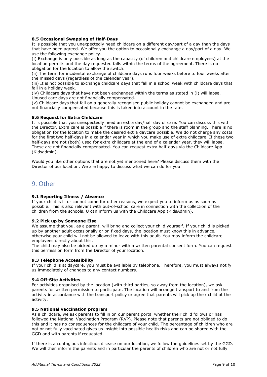### **8.5 Occasional Swapping of Half-Days**

It is possible that you unexpectedly need childcare on a different day/part of a day than the days that have been agreed. We offer you the option to occasionally exchange a day/part of a day. We use the following exchange policy.

(i) Exchange is only possible as long as the capacity (of children and childcare employees) at the location permits and the day requested falls within the terms of the agreement. There is no obligation for the location to allow the switch.

(ii) The term for incidental exchange of childcare days runs four weeks before to four weeks after the missed days (regardless of the calendar year).

(iii) It is not possible to exchange childcare days that fall in a school week with childcare days that fall in a holiday week.

(iv) Childcare days that have not been exchanged within the terms as stated in (i) will lapse. Unused care days are not financially compensated.

(v) Childcare days that fall on a generally recognised public holiday cannot be exchanged and are not financially compensated because this is taken into account in the rate.

### **8.6 Request for Extra Childcare**

It is possible that you unexpectedly need an extra day/half day of care. You can discuss this with the Director. Extra care is possible if there is room in the group and the staff planning. There is no obligation for the location to make the desired extra daycare possible. We do not charge any costs for the first two half-days in a calendar year in which you make use of extra childcare. If these two half-days are not (both) used for extra childcare at the end of a calendar year, they will lapse. These are not financially compensated. You can request extra half-days via the Childcare App (Kidsadmin).

Would you like other options that are not yet mentioned here? Please discuss them with the Director of our location. We are happy to discuss what we can do for you.

### <span id="page-8-0"></span>9. Other

### **9.1 Reporting Illness / Absence**

If your child is ill or cannot come for other reasons, we expect you to inform us as soon as possible. This is also relevant with out-of-school care in connection with the collection of the children from the schools. U can inform us with the Childcare App (KidsAdmin).

#### **9.2 Pick up by Someone Else**

We assume that you, as a parent, will bring and collect your child yourself. If your child is picked up by another adult occasionally or on fixed days, the location must know this in advance, otherwise your child will not be allowed to leave with this adult. You may inform the childcare employees directly about this.

The child may also be picked up by a minor with a written parental consent form. You can request this permission form from the Director of your location.

### **9.3 Telephone Accessibility**

If your child is at daycare, you must be available by telephone. Therefore, you must always notify us immediately of changes to any contact numbers.

#### **9.4 Off-Site Activities**

For activities organised by the location (with third parties, so away from the location), we ask parents for written permission to participate. The location will arrange transport to and from the activity in accordance with the transport policy or agree that parents will pick up their child at the activity.

### <span id="page-8-1"></span>**9.5 National vaccination program**

As a childcare, we ask parents to fill in on our parent portal whether their child follows or has followed the National Vaccination Program (RVP). Please note that parents are not obliged to do this and it has no consequences for the childcare of your child. The percentage of children who are not or not fully vaccinated gives us insight into possible health risks and can be shared with the GGD and with parents if requested.

If there is a contagious infectious disease on our location, we follow the guidelines set by the GGD. We will then inform the parents and in particular the parents of children who are not or not fully